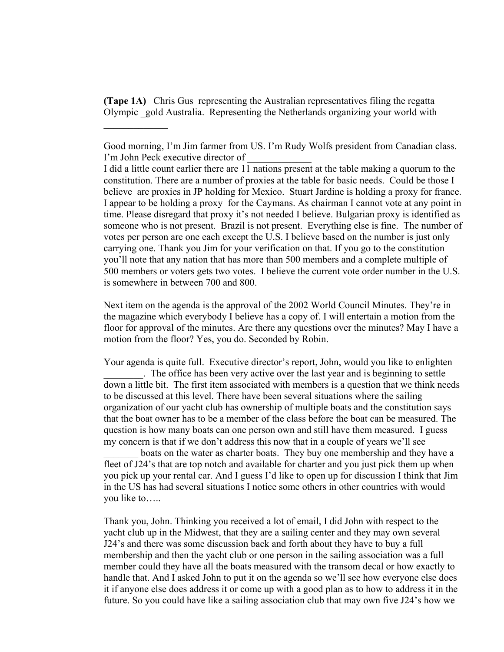**(Tape 1A)** Chris Gus representing the Australian representatives filing the regatta Olympic \_gold Australia. Representing the Netherlands organizing your world with

 $\frac{1}{2}$ 

I did a little count earlier there are 11 nations present at the table making a quorum to the constitution. There are a number of proxies at the table for basic needs. Could be those I believe are proxies in JP holding for Mexico. Stuart Jardine is holding a proxy for france. I appear to be holding a proxy for the Caymans. As chairman I cannot vote at any point in time. Please disregard that proxy it's not needed I believe. Bulgarian proxy is identified as someone who is not present. Brazil is not present. Everything else is fine. The number of votes per person are one each except the U.S. I believe based on the number is just only carrying one. Thank you Jim for your verification on that. If you go to the constitution you'll note that any nation that has more than 500 members and a complete multiple of 500 members or voters gets two votes. I believe the current vote order number in the U.S. is somewhere in between 700 and 800.

Next item on the agenda is the approval of the 2002 World Council Minutes. They're in the magazine which everybody I believe has a copy of. I will entertain a motion from the floor for approval of the minutes. Are there any questions over the minutes? May I have a motion from the floor? Yes, you do. Seconded by Robin.

Your agenda is quite full. Executive director's report, John, would you like to enlighten The office has been very active over the last year and is beginning to settle down a little bit. The first item associated with members is a question that we think needs to be discussed at this level. There have been several situations where the sailing organization of our yacht club has ownership of multiple boats and the constitution says that the boat owner has to be a member of the class before the boat can be measured. The question is how many boats can one person own and still have them measured. I guess my concern is that if we don't address this now that in a couple of years we'll see

boats on the water as charter boats. They buy one membership and they have a fleet of J24's that are top notch and available for charter and you just pick them up when you pick up your rental car. And I guess I'd like to open up for discussion I think that Jim in the US has had several situations I notice some others in other countries with would you like to…..

Thank you, John. Thinking you received a lot of email, I did John with respect to the yacht club up in the Midwest, that they are a sailing center and they may own several J24's and there was some discussion back and forth about they have to buy a full membership and then the yacht club or one person in the sailing association was a full member could they have all the boats measured with the transom decal or how exactly to handle that. And I asked John to put it on the agenda so we'll see how everyone else does it if anyone else does address it or come up with a good plan as to how to address it in the future. So you could have like a sailing association club that may own five J24's how we

Good morning, I'm Jim farmer from US. I'm Rudy Wolfs president from Canadian class. I'm John Peck executive director of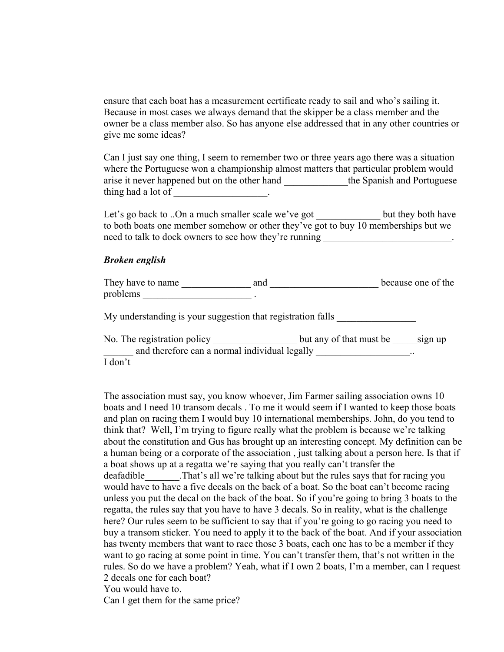ensure that each boat has a measurement certificate ready to sail and who's sailing it. Because in most cases we always demand that the skipper be a class member and the owner be a class member also. So has anyone else addressed that in any other countries or give me some ideas?

Can I just say one thing, I seem to remember two or three years ago there was a situation where the Portuguese won a championship almost matters that particular problem would arise it never happened but on the other hand \_\_\_\_\_\_\_\_\_\_\_\_the Spanish and Portuguese thing had a lot of  $\qquad \qquad$ 

Let's go back to ..On a much smaller scale we've got but they both have to both boats one member somehow or other they've got to buy 10 memberships but we need to talk to dock owners to see how they're running

## *Broken english*

They have to name \_\_\_\_\_\_\_\_\_\_\_\_\_\_ and \_\_\_\_\_\_\_\_\_\_\_\_\_\_\_\_\_\_\_\_\_\_ because one of the problems \_\_\_\_\_\_\_\_\_\_\_\_\_\_\_\_\_\_\_\_\_\_ .

My understanding is your suggestion that registration falls

No. The registration policy \_\_\_\_\_\_\_\_\_\_\_\_\_\_\_\_\_\_\_\_\_ but any of that must be \_\_\_\_\_\_sign up and therefore can a normal individual legally \_\_\_\_\_\_\_\_\_\_\_\_\_\_\_\_\_\_\_\_\_\_\_\_\_\_\_\_\_\_\_\_\_\_ I don't

The association must say, you know whoever, Jim Farmer sailing association owns 10 boats and I need 10 transom decals . To me it would seem if I wanted to keep those boats and plan on racing them I would buy 10 international memberships. John, do you tend to think that? Well, I'm trying to figure really what the problem is because we're talking about the constitution and Gus has brought up an interesting concept. My definition can be a human being or a corporate of the association , just talking about a person here. Is that if a boat shows up at a regatta we're saying that you really can't transfer the deafadible That's all we're talking about but the rules says that for racing you would have to have a five decals on the back of a boat. So the boat can't become racing unless you put the decal on the back of the boat. So if you're going to bring 3 boats to the regatta, the rules say that you have to have 3 decals. So in reality, what is the challenge here? Our rules seem to be sufficient to say that if you're going to go racing you need to buy a transom sticker. You need to apply it to the back of the boat. And if your association has twenty members that want to race those 3 boats, each one has to be a member if they want to go racing at some point in time. You can't transfer them, that's not written in the rules. So do we have a problem? Yeah, what if I own 2 boats, I'm a member, can I request 2 decals one for each boat?

You would have to.

Can I get them for the same price?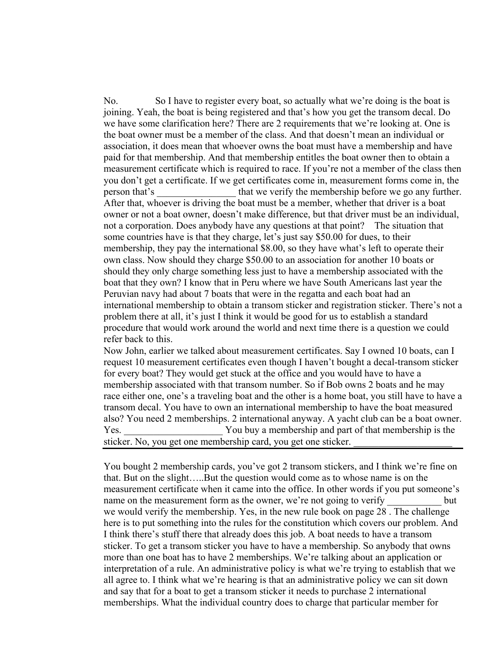No. So I have to register every boat, so actually what we're doing is the boat is joining. Yeah, the boat is being registered and that's how you get the transom decal. Do we have some clarification here? There are 2 requirements that we're looking at. One is the boat owner must be a member of the class. And that doesn't mean an individual or association, it does mean that whoever owns the boat must have a membership and have paid for that membership. And that membership entitles the boat owner then to obtain a measurement certificate which is required to race. If you're not a member of the class then you don't get a certificate. If we get certificates come in, measurement forms come in, the person that's that we verify the membership before we go any further. After that, whoever is driving the boat must be a member, whether that driver is a boat owner or not a boat owner, doesn't make difference, but that driver must be an individual, not a corporation. Does anybody have any questions at that point? The situation that some countries have is that they charge, let's just say \$50.00 for dues, to their membership, they pay the international \$8.00, so they have what's left to operate their own class. Now should they charge \$50.00 to an association for another 10 boats or should they only charge something less just to have a membership associated with the boat that they own? I know that in Peru where we have South Americans last year the Peruvian navy had about 7 boats that were in the regatta and each boat had an international membership to obtain a transom sticker and registration sticker. There's not a problem there at all, it's just I think it would be good for us to establish a standard procedure that would work around the world and next time there is a question we could refer back to this.

Now John, earlier we talked about measurement certificates. Say I owned 10 boats, can I request 10 measurement certificates even though I haven't bought a decal-transom sticker for every boat? They would get stuck at the office and you would have to have a membership associated with that transom number. So if Bob owns 2 boats and he may race either one, one's a traveling boat and the other is a home boat, you still have to have a transom decal. You have to own an international membership to have the boat measured also? You need 2 memberships. 2 international anyway. A yacht club can be a boat owner. Yes. You buy a membership and part of that membership is the sticker. No, you get one membership card, you get one sticker.

You bought 2 membership cards, you've got 2 transom stickers, and I think we're fine on that. But on the slight…..But the question would come as to whose name is on the measurement certificate when it came into the office. In other words if you put someone's name on the measurement form as the owner, we're not going to verify but we would verify the membership. Yes, in the new rule book on page 28 . The challenge here is to put something into the rules for the constitution which covers our problem. And I think there's stuff there that already does this job. A boat needs to have a transom sticker. To get a transom sticker you have to have a membership. So anybody that owns more than one boat has to have 2 memberships. We're talking about an application or interpretation of a rule. An administrative policy is what we're trying to establish that we all agree to. I think what we're hearing is that an administrative policy we can sit down and say that for a boat to get a transom sticker it needs to purchase 2 international memberships. What the individual country does to charge that particular member for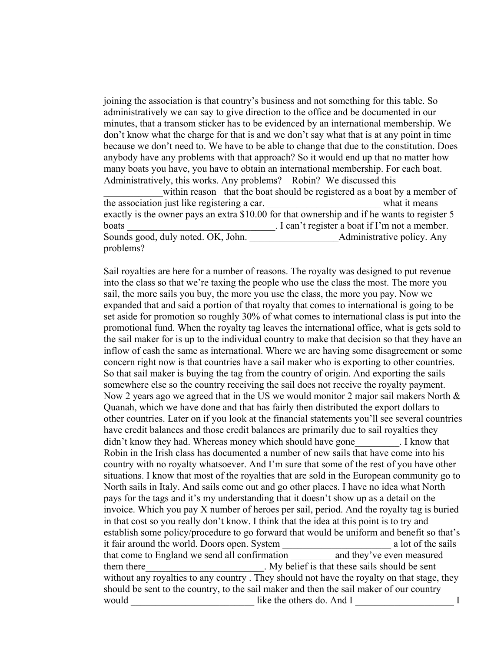joining the association is that country's business and not something for this table. So administratively we can say to give direction to the office and be documented in our minutes, that a transom sticker has to be evidenced by an international membership. We don't know what the charge for that is and we don't say what that is at any point in time because we don't need to. We have to be able to change that due to the constitution. Does anybody have any problems with that approach? So it would end up that no matter how many boats you have, you have to obtain an international membership. For each boat. Administratively, this works. Any problems? Robin? We discussed this

within reason that the boat should be registered as a boat by a member of the association just like registering a car.  $\blacksquare$  what it means exactly is the owner pays an extra \$10.00 for that ownership and if he wants to register 5 boats \_\_\_\_\_\_\_\_\_\_\_\_\_\_\_\_\_\_\_\_\_\_\_\_\_\_\_\_\_\_. I can't register a boat if I'm not a member. Sounds good, duly noted. OK, John. \_\_\_\_\_\_\_\_\_\_\_\_\_\_\_\_\_\_Administrative policy. Any problems?

Sail royalties are here for a number of reasons. The royalty was designed to put revenue into the class so that we're taxing the people who use the class the most. The more you sail, the more sails you buy, the more you use the class, the more you pay. Now we expanded that and said a portion of that royalty that comes to international is going to be set aside for promotion so roughly 30% of what comes to international class is put into the promotional fund. When the royalty tag leaves the international office, what is gets sold to the sail maker for is up to the individual country to make that decision so that they have an inflow of cash the same as international. Where we are having some disagreement or some concern right now is that countries have a sail maker who is exporting to other countries. So that sail maker is buying the tag from the country of origin. And exporting the sails somewhere else so the country receiving the sail does not receive the royalty payment. Now 2 years ago we agreed that in the US we would monitor 2 major sail makers North  $\&$ Quanah, which we have done and that has fairly then distributed the export dollars to other countries. Later on if you look at the financial statements you'll see several countries have credit balances and those credit balances are primarily due to sail royalties they didn't know they had. Whereas money which should have gone The subset of  $\mu$  I know that Robin in the Irish class has documented a number of new sails that have come into his country with no royalty whatsoever. And I'm sure that some of the rest of you have other situations. I know that most of the royalties that are sold in the European community go to North sails in Italy. And sails come out and go other places. I have no idea what North pays for the tags and it's my understanding that it doesn't show up as a detail on the invoice. Which you pay X number of heroes per sail, period. And the royalty tag is buried in that cost so you really don't know. I think that the idea at this point is to try and establish some policy/procedure to go forward that would be uniform and benefit so that's it fair around the world. Doors open. System a lot of the sails a lot of the sails that come to England we send all confirmation \_\_\_\_\_\_\_\_\_and they've even measured them there the sails should be sent them there sails should be sent without any royalties to any country . They should not have the royalty on that stage, they should be sent to the country, to the sail maker and then the sail maker of our country would \_\_\_\_\_\_\_\_\_\_\_\_\_\_\_\_\_\_\_\_\_\_\_\_\_ like the others do. And I \_\_\_\_\_\_\_\_\_\_\_\_\_\_\_\_\_\_\_\_ I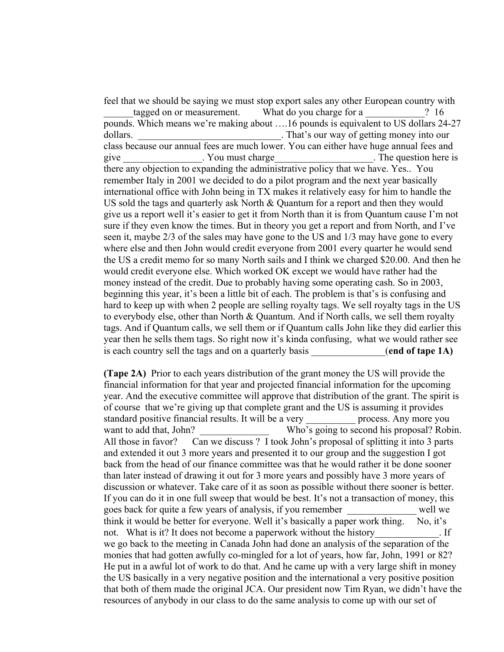feel that we should be saying we must stop export sales any other European country with

tagged on or measurement. What do you charge for a  $\qquad$  ? 16 pounds. Which means we're making about ….16 pounds is equivalent to US dollars 24-27 dollars.  $\blacksquare$  That's our way of getting money into our class because our annual fees are much lower. You can either have huge annual fees and give The question here is a set of  $\alpha$  you must charge the set of  $\alpha$  is the question here is there any objection to expanding the administrative policy that we have. Yes.. You remember Italy in 2001 we decided to do a pilot program and the next year basically international office with John being in TX makes it relatively easy for him to handle the US sold the tags and quarterly ask North & Quantum for a report and then they would give us a report well it's easier to get it from North than it is from Quantum cause I'm not sure if they even know the times. But in theory you get a report and from North, and I've seen it, maybe 2/3 of the sales may have gone to the US and 1/3 may have gone to every where else and then John would credit everyone from 2001 every quarter he would send the US a credit memo for so many North sails and I think we charged \$20.00. And then he would credit everyone else. Which worked OK except we would have rather had the money instead of the credit. Due to probably having some operating cash. So in 2003, beginning this year, it's been a little bit of each. The problem is that's is confusing and hard to keep up with when 2 people are selling royalty tags. We sell royalty tags in the US to everybody else, other than North  $&$  Quantum. And if North calls, we sell them royalty tags. And if Quantum calls, we sell them or if Quantum calls John like they did earlier this year then he sells them tags. So right now it's kinda confusing, what we would rather see is each country sell the tags and on a quarterly basis (end of tape 1A)

**(Tape 2A)** Prior to each years distribution of the grant money the US will provide the financial information for that year and projected financial information for the upcoming year. And the executive committee will approve that distribution of the grant. The spirit is of course that we're giving up that complete grant and the US is assuming it provides standard positive financial results. It will be a very process. Any more you want to add that, John? Who's going to second his proposal? Robin. All those in favor? Can we discuss ? I took John's proposal of splitting it into 3 parts and extended it out 3 more years and presented it to our group and the suggestion I got back from the head of our finance committee was that he would rather it be done sooner than later instead of drawing it out for 3 more years and possibly have 3 more years of discussion or whatever. Take care of it as soon as possible without there sooner is better. If you can do it in one full sweep that would be best. It's not a transaction of money, this goes back for quite a few years of analysis, if you remember \_\_\_\_\_\_\_\_\_\_\_\_\_\_ well we think it would be better for everyone. Well it's basically a paper work thing. No, it's not. What is it? It does not become a paperwork without the history [16]. If we go back to the meeting in Canada John had done an analysis of the separation of the monies that had gotten awfully co-mingled for a lot of years, how far, John, 1991 or 82? He put in a awful lot of work to do that. And he came up with a very large shift in money the US basically in a very negative position and the international a very positive position that both of them made the original JCA. Our president now Tim Ryan, we didn't have the resources of anybody in our class to do the same analysis to come up with our set of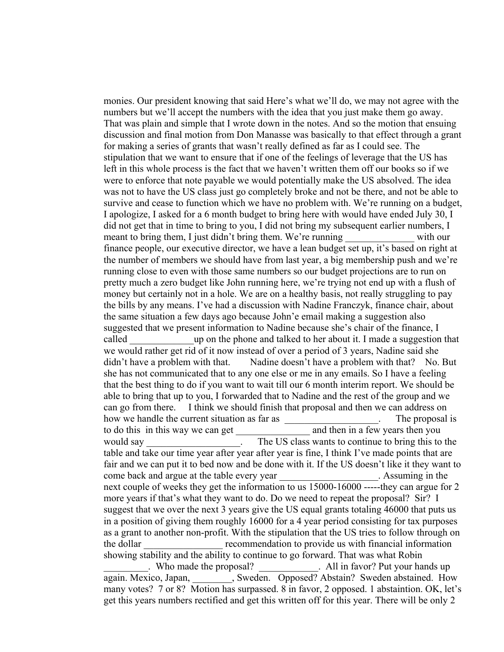monies. Our president knowing that said Here's what we'll do, we may not agree with the numbers but we'll accept the numbers with the idea that you just make them go away. That was plain and simple that I wrote down in the notes. And so the motion that ensuing discussion and final motion from Don Manasse was basically to that effect through a grant for making a series of grants that wasn't really defined as far as I could see. The stipulation that we want to ensure that if one of the feelings of leverage that the US has left in this whole process is the fact that we haven't written them off our books so if we were to enforce that note payable we would potentially make the US absolved. The idea was not to have the US class just go completely broke and not be there, and not be able to survive and cease to function which we have no problem with. We're running on a budget, I apologize, I asked for a 6 month budget to bring here with would have ended July 30, I did not get that in time to bring to you, I did not bring my subsequent earlier numbers, I meant to bring them, I just didn't bring them. We're running with our finance people, our executive director, we have a lean budget set up, it's based on right at the number of members we should have from last year, a big membership push and we're running close to even with those same numbers so our budget projections are to run on pretty much a zero budget like John running here, we're trying not end up with a flush of money but certainly not in a hole. We are on a healthy basis, not really struggling to pay the bills by any means. I've had a discussion with Nadine Franczyk, finance chair, about the same situation a few days ago because John'e email making a suggestion also suggested that we present information to Nadine because she's chair of the finance, I called **the up on the phone and talked to her about it. I made a suggestion that** we would rather get rid of it now instead of over a period of 3 years, Nadine said she didn't have a problem with that. Nadine doesn't have a problem with that? No. But she has not communicated that to any one else or me in any emails. So I have a feeling that the best thing to do if you want to wait till our 6 month interim report. We should be able to bring that up to you, I forwarded that to Nadine and the rest of the group and we can go from there. I think we should finish that proposal and then we can address on how we handle the current situation as far as <br>example the proposal is to do this in this way we can get and then in a few years then you would say The US class wants to continue to bring this to the table and take our time year after year after year is fine, I think I've made points that are fair and we can put it to bed now and be done with it. If the US doesn't like it they want to come back and argue at the table every year \_\_\_\_\_\_\_\_\_\_\_\_\_\_\_\_\_\_\_\_. Assuming in the next couple of weeks they get the information to us 15000-16000 -----they can argue for 2 more years if that's what they want to do. Do we need to repeat the proposal? Sir? I suggest that we over the next 3 years give the US equal grants totaling 46000 that puts us in a position of giving them roughly 16000 for a 4 year period consisting for tax purposes as a grant to another non-profit. With the stipulation that the US tries to follow through on the dollar recommendation to provide us with financial information showing stability and the ability to continue to go forward. That was what Robin \_\_\_\_\_\_\_\_\_. Who made the proposal? \_\_\_\_\_\_\_\_\_\_\_\_. All in favor? Put your hands up again. Mexico, Japan, Sweden. Opposed? Abstain? Sweden abstained. How many votes? 7 or 8? Motion has surpassed. 8 in favor, 2 opposed. 1 abstaintion. OK, let's get this years numbers rectified and get this written off for this year. There will be only 2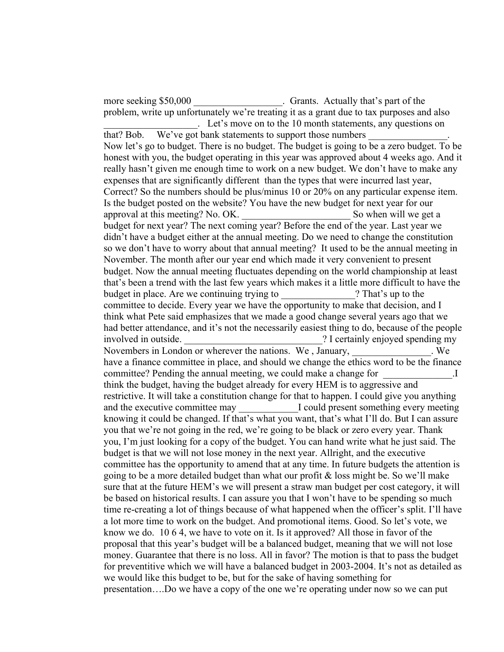more seeking \$50,000 Fig. Crants. Actually that's part of the problem, write up unfortunately we're treating it as a grant due to tax purposes and also \_\_\_\_\_\_\_\_\_\_\_\_\_\_\_\_\_\_\_. Let's move on to the 10 month statements, any questions on

that? Bob. We've got bank statements to support those numbers Now let's go to budget. There is no budget. The budget is going to be a zero budget. To be honest with you, the budget operating in this year was approved about 4 weeks ago. And it really hasn't given me enough time to work on a new budget. We don't have to make any expenses that are significantly different than the types that were incurred last year, Correct? So the numbers should be plus/minus 10 or 20% on any particular expense item. Is the budget posted on the website? You have the new budget for next year for our approval at this meeting? No. OK. \_\_\_\_\_\_\_\_\_\_\_\_\_\_\_\_\_\_\_\_\_\_ So when will we get a budget for next year? The next coming year? Before the end of the year. Last year we didn't have a budget either at the annual meeting. Do we need to change the constitution so we don't have to worry about that annual meeting? It used to be the annual meeting in November. The month after our year end which made it very convenient to present budget. Now the annual meeting fluctuates depending on the world championship at least that's been a trend with the last few years which makes it a little more difficult to have the budget in place. Are we continuing trying to  $\cdot$  ? That's up to the committee to decide. Every year we have the opportunity to make that decision, and I think what Pete said emphasizes that we made a good change several years ago that we had better attendance, and it's not the necessarily easiest thing to do, because of the people involved in outside. The same section of  $\alpha$  is a section of  $\alpha$  is a section of  $\alpha$  is a section of  $\alpha$  is a section of  $\alpha$  is a section of  $\alpha$  is a section of  $\alpha$  is a section of  $\alpha$  is a section of  $\alpha$  is a sec Novembers in London or wherever the nations. We, January, We have a finance committee in place, and should we change the ethics word to be the finance committee? Pending the annual meeting, we could make a change for Theorem  $\overline{I}$ think the budget, having the budget already for every HEM is to aggressive and restrictive. It will take a constitution change for that to happen. I could give you anything and the executive committee may **Let up to all a** could present something every meeting knowing it could be changed. If that's what you want, that's what I'll do. But I can assure you that we're not going in the red, we're going to be black or zero every year. Thank you, I'm just looking for a copy of the budget. You can hand write what he just said. The budget is that we will not lose money in the next year. Allright, and the executive committee has the opportunity to amend that at any time. In future budgets the attention is going to be a more detailed budget than what our profit  $\&$  loss might be. So we'll make sure that at the future HEM's we will present a straw man budget per cost category, it will be based on historical results. I can assure you that I won't have to be spending so much time re-creating a lot of things because of what happened when the officer's split. I'll have a lot more time to work on the budget. And promotional items. Good. So let's vote, we know we do. 10 6 4, we have to vote on it. Is it approved? All those in favor of the proposal that this year's budget will be a balanced budget, meaning that we will not lose money. Guarantee that there is no loss. All in favor? The motion is that to pass the budget for preventitive which we will have a balanced budget in 2003-2004. It's not as detailed as we would like this budget to be, but for the sake of having something for presentation….Do we have a copy of the one we're operating under now so we can put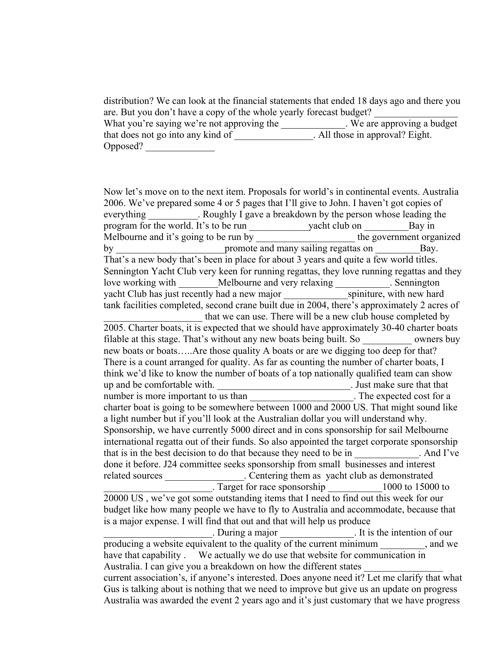distribution? We can look at the financial statements that ended 18 days ago and there you are. But you don't have a copy of the whole yearly forecast budget? What you're saying we're not approving the \_\_\_\_\_\_\_\_\_\_\_\_\_. We are approving a budget that does not go into any kind of \_\_\_\_\_\_\_\_\_\_\_\_\_\_\_\_. All those in approval? Eight. Opposed? \_\_\_\_\_\_\_\_\_\_\_\_\_\_

Now let's move on to the next item. Proposals for world's in continental events. Australia 2006. We've prepared some 4 or 5 pages that I'll give to John. I haven't got copies of everything Roughly I gave a breakdown by the person whose leading the program for the world. It's to be run \_\_\_\_\_\_\_\_\_\_\_\_yacht club on \_\_\_\_\_\_\_\_\_\_\_\_\_\_\_\_\_Bay in Melbourne and it's going to be run by  $\overline{a}$  the government organized by by promote and many sailing regattas on Bay. That's a new body that's been in place for about 3 years and quite a few world titles. Sennington Yacht Club very keen for running regattas, they love running regattas and they love working with \_\_\_\_\_\_\_Melbourne and very relaxing \_\_\_\_\_\_\_\_\_\_. Sennington yacht Club has just recently had a new major spiniture, with new hard tank facilities completed, second crane built due in 2004, there's approximately 2 acres of that we can use. There will be a new club house completed by 2005. Charter boats, it is expected that we should have approximately 30-40 charter boats filable at this stage. That's without any new boats being built. So wrners buy new boats or boats.....Are those quality A boats or are we digging too deep for that? There is a count arranged for quality. As far as counting the number of charter boats, I think we'd like to know the number of boats of a top nationally qualified team can show up and be comfortable with. \_\_\_\_\_\_\_\_\_\_\_\_\_\_\_\_\_\_\_\_\_\_\_\_\_\_\_\_\_\_. Just make sure that that number is more important to us than The expected cost for a charter boat is going to be somewhere between 1000 and 2000 US. That might sound like a light number but if you'll look at the Australian dollar you will understand why. Sponsorship, we have currently 5000 direct and in cons sponsorship for sail Melbourne international regatta out of their funds. So also appointed the target corporate sponsorship that is in the best decision to do that because they need to be in . And I've done it before. J24 committee seeks sponsorship from small businesses and interest related sources \_\_\_\_\_\_\_\_\_\_\_\_\_\_\_\_. Centering them as yacht club as demonstrated \_\_\_\_\_\_\_\_\_\_\_\_\_\_\_\_\_\_\_\_\_\_. Target for race sponsorship \_\_\_\_\_\_\_\_\_\_\_1000 to 15000 to 20000 US , we've got some outstanding items that I need to find out this week for our budget like how many people we have to fly to Australia and accommodate, because that is a major expense. I will find that out and that will help us produce \_\_\_\_\_\_\_\_\_\_\_\_\_\_\_\_\_\_\_\_\_\_. During a major \_\_\_\_\_\_\_\_\_\_\_\_\_\_\_. It is the intention of our producing a website equivalent to the quality of the current minimum  $\alpha$ , and we have that capability . We actually we do use that website for communication in Australia. I can give you a breakdown on how the different states current association's, if anyone's interested. Does anyone need it? Let me clarify that what Gus is talking about is nothing that we need to improve but give us an update on progress Australia was awarded the event 2 years ago and it's just customary that we have progress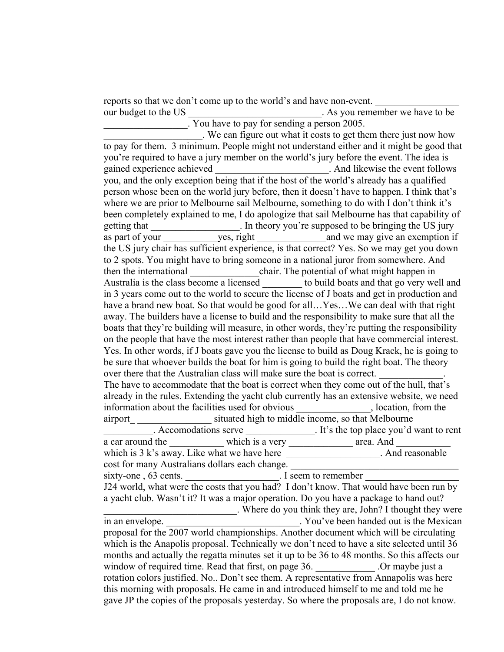reports so that we don't come up to the world's and have non-event. our budget to the US \_\_\_\_\_\_\_\_\_\_\_\_\_\_\_\_\_\_\_\_\_\_\_\_\_\_\_. As you remember we have to be \_\_\_\_\_\_\_\_\_\_\_\_\_\_\_\_\_. You have to pay for sending a person 2005.

\_\_\_\_\_\_\_\_\_\_\_\_\_\_\_\_\_\_\_\_. We can figure out what it costs to get them there just now how to pay for them. 3 minimum. People might not understand either and it might be good that you're required to have a jury member on the world's jury before the event. The idea is gained experience achieved \_\_\_\_\_\_\_\_\_\_\_\_\_\_\_\_\_\_\_\_\_\_\_. And likewise the event follows you, and the only exception being that if the host of the world's already has a qualified person whose been on the world jury before, then it doesn't have to happen. I think that's where we are prior to Melbourne sail Melbourne, something to do with I don't think it's been completely explained to me, I do apologize that sail Melbourne has that capability of getting that Theory you're supposed to be bringing the US jury as part of your ves, right and we may give an exemption if the US jury chair has sufficient experience, is that correct? Yes. So we may get you down to 2 spots. You might have to bring someone in a national juror from somewhere. And then the international chair. The potential of what might happen in Australia is the class become a licensed to build boats and that go very well and in 3 years come out to the world to secure the license of J boats and get in production and have a brand new boat. So that would be good for all...Yes...We can deal with that right away. The builders have a license to build and the responsibility to make sure that all the boats that they're building will measure, in other words, they're putting the responsibility on the people that have the most interest rather than people that have commercial interest. Yes. In other words, if J boats gave you the license to build as Doug Krack, he is going to be sure that whoever builds the boat for him is going to build the right boat. The theory over there that the Australian class will make sure the boat is correct. The have to accommodate that the boat is correct when they come out of the hull, that's already in the rules. Extending the yacht club currently has an extensive website, we need information about the facilities used for obvious and solution, from the airport situated high to middle income, so that Melbourne \_\_\_\_\_\_\_\_\_\_. Accomodations serve \_\_\_\_\_\_\_\_\_\_\_\_\_\_. It's the top place you'd want to rent a car around the \_\_\_\_\_\_\_\_\_\_\_ which is a very \_\_\_\_\_\_\_\_\_\_\_\_\_ area. And \_\_\_\_\_\_\_\_\_\_\_ which is 3 k's away. Like what we have here \_\_\_\_\_\_\_\_\_\_\_\_\_\_\_\_\_\_\_. And reasonable cost for many Australians dollars each change. sixty-one , 63 cents.  $\blacksquare$  . I seem to remember J24 world, what were the costs that you had? I don't know. That would have been run by a yacht club. Wasn't it? It was a major operation. Do you have a package to hand out? \_\_\_\_\_\_\_\_\_\_\_\_\_\_\_\_\_\_\_\_\_\_\_\_\_\_\_. Where do you think they are, John? I thought they were in an envelope. \_\_\_\_\_\_\_\_\_\_\_\_\_\_\_\_\_\_\_\_\_\_\_\_\_\_\_. You've been handed out is the Mexican proposal for the 2007 world championships. Another document which will be circulating which is the Anapolis proposal. Technically we don't need to have a site selected until 36 months and actually the regatta minutes set it up to be 36 to 48 months. So this affects our window of required time. Read that first, on page 36. Commaybe just a rotation colors justified. No.. Don't see them. A representative from Annapolis was here this morning with proposals. He came in and introduced himself to me and told me he gave JP the copies of the proposals yesterday. So where the proposals are, I do not know.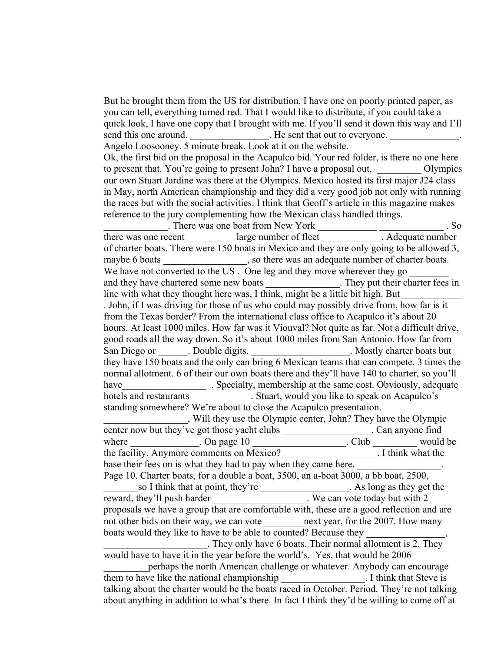But he brought them from the US for distribution, I have one on poorly printed paper, as you can tell, everything turned red. That I would like to distribute, if you could take a quick look, I have one copy that I brought with me. If you'll send it down this way and I'll send this one around. Even that out to everyone. Angelo Loosooney. 5 minute break. Look at it on the website. Ok, the first bid on the proposal in the Acapulco bid. Your red folder, is there no one here to present that. You're going to present John? I have a proposal out, Olympics our own Stuart Jardine was there at the Olympics. Mexico hosted its first major J24 class in May, north American championship and they did a very good job not only with running the races but with the social activities. I think that Geoff's article in this magazine makes reference to the jury complementing how the Mexican class handled things.

\_\_\_\_\_\_\_\_\_\_\_\_\_. There was one boat from New York \_\_\_\_\_\_\_\_\_\_\_\_ \_\_\_\_\_\_\_\_\_\_\_\_\_ . So there was one recent large number of fleet . Adequate number  $\lambda$ of charter boats. There were 150 boats in Mexico and they are only going to be allowed 3, maybe 6 boats \_\_\_\_\_\_\_\_\_\_\_\_\_\_, so there was an adequate number of charter boats. We have not converted to the US . One leg and they move wherever they go and they have chartered some new boats \_\_\_\_\_\_\_\_\_\_\_\_\_\_\_. They put their charter fees in line with what they thought here was, I think, might be a little bit high. But . John, if I was driving for those of us who could may possibly drive from, how far is it from the Texas border? From the international class office to Acapulco it's about 20 hours. At least 1000 miles. How far was it Viouval? Not quite as far. Not a difficult drive, good roads all the way down. So it's about 1000 miles from San Antonio. How far from San Diego or \_\_\_\_\_\_\_. Double digits. \_\_\_\_\_\_\_\_\_\_\_\_\_\_\_\_\_\_\_\_. Mostly charter boats but they have 150 boats and the only can bring 6 Mexican teams that can compete. 3 times the normal allotment. 6 of their our own boats there and they'll have 140 to charter, so you'll have Specialty, membership at the same cost. Obviously, adequate hotels and restaurants **and in Stuart**, would you like to speak on Acapulco's standing somewhere? We're about to close the Acapulco presentation. \_\_\_\_\_\_\_\_\_\_\_\_\_\_\_\_\_, Will they use the Olympic center, John? They have the Olympic center now but they've got those yacht clubs \_\_\_\_\_\_\_\_\_\_\_\_\_\_\_\_\_\_. Can anyone find

where  $\frac{1}{2}$ . On page 10  $\frac{1}{2}$ . Club  $\frac{1}{2}$  would be the facility. Anymore comments on Mexico? the facility. Anymore comments on Mexico? base their fees on is what they had to pay when they came here. Page 10. Charter boats, for a double a boat, 3500, an a-boat 3000, a bb boat, 2500, so I think that at point, they're . As long as they get the reward, they'll push harder We can vote today but with 2 proposals we have a group that are comfortable with, these are a good reflection and are not other bids on their way, we can vote \_\_\_\_\_\_\_\_\_\_next year, for the 2007. How many boats would they like to have to be able to counted? Because they . They only have 6 boats. Their normal allotment is 2. They would have to have it in the year before the world's. Yes, that would be 2006 perhaps the north American challenge or whatever. Anybody can encourage them to have like the national championship \_\_\_\_\_\_\_\_\_\_\_\_\_\_\_\_\_. I think that Steve is

talking about the charter would be the boats raced in October. Period. They're not talking about anything in addition to what's there. In fact I think they'd be willing to come off at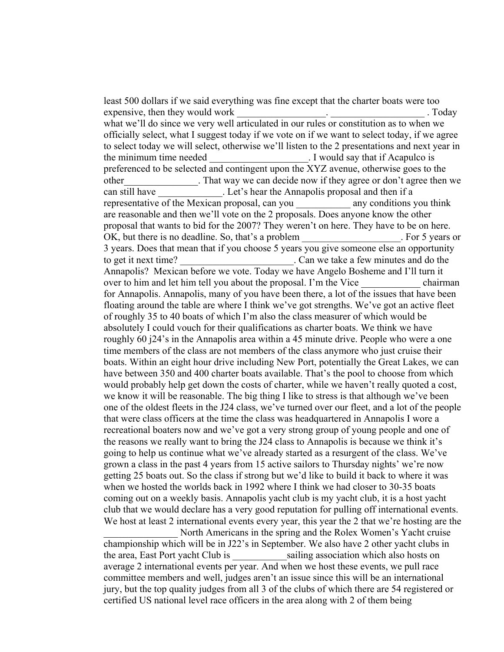least 500 dollars if we said everything was fine except that the charter boats were too expensive, then they would work the same state of the state of the state of the state of the state of the state of the state of the state of the state of the state of the state of the state of the state of the state of the what we'll do since we very well articulated in our rules or constitution as to when we officially select, what I suggest today if we vote on if we want to select today, if we agree to select today we will select, otherwise we'll listen to the 2 presentations and next year in the minimum time needed Theorem 1 would say that if Acapulco is preferenced to be selected and contingent upon the XYZ avenue, otherwise goes to the other\_\_\_\_\_\_\_\_\_\_\_\_\_\_\_. That way we can decide now if they agree or don't agree then we can still have Let's hear the Annapolis proposal and then if a representative of the Mexican proposal, can you \_\_\_\_\_\_\_\_\_\_\_ any conditions you think are reasonable and then we'll vote on the 2 proposals. Does anyone know the other proposal that wants to bid for the 2007? They weren't on here. They have to be on here. OK, but there is no deadline. So, that's a problem The example of  $\sim$  For 5 years or 3 years. Does that mean that if you choose 5 years you give someone else an opportunity to get it next time? Can we take a few minutes and do the Annapolis? Mexican before we vote. Today we have Angelo Bosheme and I'll turn it over to him and let him tell you about the proposal. I'm the Vice chairman for Annapolis. Annapolis, many of you have been there, a lot of the issues that have been floating around the table are where I think we've got strengths. We've got an active fleet of roughly 35 to 40 boats of which I'm also the class measurer of which would be absolutely I could vouch for their qualifications as charter boats. We think we have roughly 60 j24's in the Annapolis area within a 45 minute drive. People who were a one time members of the class are not members of the class anymore who just cruise their boats. Within an eight hour drive including New Port, potentially the Great Lakes, we can have between 350 and 400 charter boats available. That's the pool to choose from which would probably help get down the costs of charter, while we haven't really quoted a cost, we know it will be reasonable. The big thing I like to stress is that although we've been one of the oldest fleets in the J24 class, we've turned over our fleet, and a lot of the people that were class officers at the time the class was headquartered in Annapolis I wore a recreational boaters now and we've got a very strong group of young people and one of the reasons we really want to bring the J24 class to Annapolis is because we think it's going to help us continue what we've already started as a resurgent of the class. We've grown a class in the past 4 years from 15 active sailors to Thursday nights' we're now getting 25 boats out. So the class if strong but we'd like to build it back to where it was when we hosted the worlds back in 1992 where I think we had closer to 30-35 boats coming out on a weekly basis. Annapolis yacht club is my yacht club, it is a host yacht club that we would declare has a very good reputation for pulling off international events. We host at least 2 international events every year, this year the 2 that we're hosting are the North Americans in the spring and the Rolex Women's Yacht cruise

championship which will be in J22's in September. We also have 2 other yacht clubs in the area, East Port yacht Club is sailing association which also hosts on average 2 international events per year. And when we host these events, we pull race committee members and well, judges aren't an issue since this will be an international jury, but the top quality judges from all 3 of the clubs of which there are 54 registered or certified US national level race officers in the area along with 2 of them being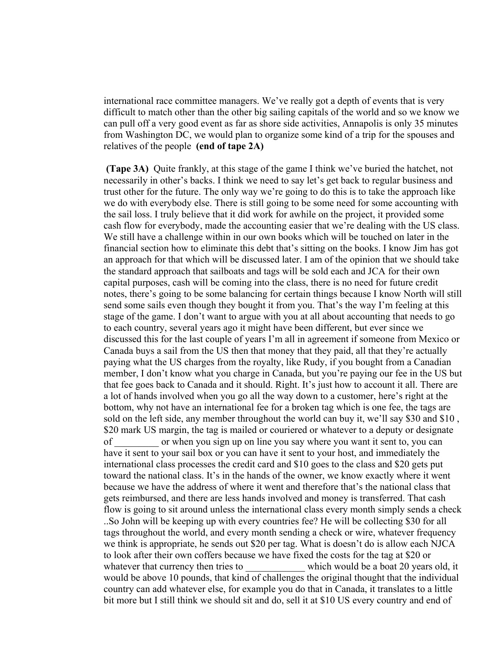international race committee managers. We've really got a depth of events that is very difficult to match other than the other big sailing capitals of the world and so we know we can pull off a very good event as far as shore side activities, Annapolis is only 35 minutes from Washington DC, we would plan to organize some kind of a trip for the spouses and relatives of the people **(end of tape 2A)**

 **(Tape 3A)** Quite frankly, at this stage of the game I think we've buried the hatchet, not necessarily in other's backs. I think we need to say let's get back to regular business and trust other for the future. The only way we're going to do this is to take the approach like we do with everybody else. There is still going to be some need for some accounting with the sail loss. I truly believe that it did work for awhile on the project, it provided some cash flow for everybody, made the accounting easier that we're dealing with the US class. We still have a challenge within in our own books which will be touched on later in the financial section how to eliminate this debt that's sitting on the books. I know Jim has got an approach for that which will be discussed later. I am of the opinion that we should take the standard approach that sailboats and tags will be sold each and JCA for their own capital purposes, cash will be coming into the class, there is no need for future credit notes, there's going to be some balancing for certain things because I know North will still send some sails even though they bought it from you. That's the way I'm feeling at this stage of the game. I don't want to argue with you at all about accounting that needs to go to each country, several years ago it might have been different, but ever since we discussed this for the last couple of years I'm all in agreement if someone from Mexico or Canada buys a sail from the US then that money that they paid, all that they're actually paying what the US charges from the royalty, like Rudy, if you bought from a Canadian member, I don't know what you charge in Canada, but you're paying our fee in the US but that fee goes back to Canada and it should. Right. It's just how to account it all. There are a lot of hands involved when you go all the way down to a customer, here's right at the bottom, why not have an international fee for a broken tag which is one fee, the tags are sold on the left side, any member throughout the world can buy it, we'll say \$30 and \$10 , \$20 mark US margin, the tag is mailed or couriered or whatever to a deputy or designate of \_\_\_\_\_\_\_\_\_ or when you sign up on line you say where you want it sent to, you can have it sent to your sail box or you can have it sent to your host, and immediately the international class processes the credit card and \$10 goes to the class and \$20 gets put toward the national class. It's in the hands of the owner, we know exactly where it went because we have the address of where it went and therefore that's the national class that gets reimbursed, and there are less hands involved and money is transferred. That cash flow is going to sit around unless the international class every month simply sends a check ..So John will be keeping up with every countries fee? He will be collecting \$30 for all tags throughout the world, and every month sending a check or wire, whatever frequency we think is appropriate, he sends out \$20 per tag. What is doesn't do is allow each NJCA to look after their own coffers because we have fixed the costs for the tag at \$20 or whatever that currency then tries to which would be a boat 20 years old, it would be above 10 pounds, that kind of challenges the original thought that the individual country can add whatever else, for example you do that in Canada, it translates to a little bit more but I still think we should sit and do, sell it at \$10 US every country and end of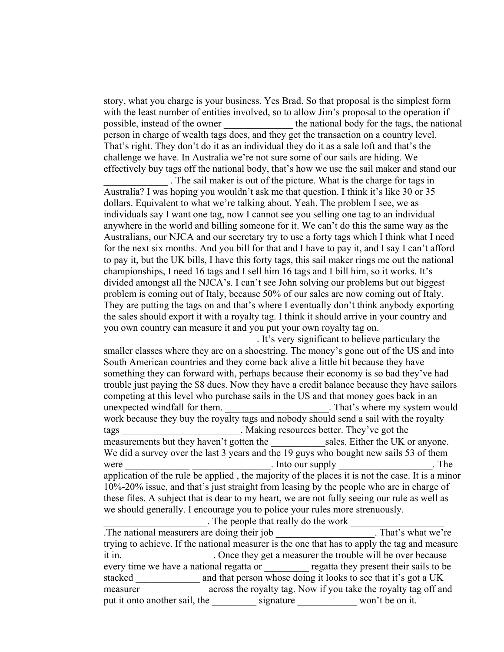story, what you charge is your business. Yes Brad. So that proposal is the simplest form with the least number of entities involved, so to allow Jim's proposal to the operation if possible, instead of the owner the national body for the tags, the national possible, instead of the owner person in charge of wealth tags does, and they get the transaction on a country level. That's right. They don't do it as an individual they do it as a sale loft and that's the challenge we have. In Australia we're not sure some of our sails are hiding. We effectively buy tags off the national body, that's how we use the sail maker and stand our

\_\_\_\_\_\_\_\_\_\_\_\_\_ . The sail maker is out of the picture. What is the charge for tags in Australia? I was hoping you wouldn't ask me that question. I think it's like 30 or 35 dollars. Equivalent to what we're talking about. Yeah. The problem I see, we as individuals say I want one tag, now I cannot see you selling one tag to an individual anywhere in the world and billing someone for it. We can't do this the same way as the Australians, our NJCA and our secretary try to use a forty tags which I think what I need for the next six months. And you bill for that and I have to pay it, and I say I can't afford to pay it, but the UK bills, I have this forty tags, this sail maker rings me out the national championships, I need 16 tags and I sell him 16 tags and I bill him, so it works. It's divided amongst all the NJCA's. I can't see John solving our problems but out biggest problem is coming out of Italy, because 50% of our sales are now coming out of Italy. They are putting the tags on and that's where I eventually don't think anybody exporting the sales should export it with a royalty tag. I think it should arrive in your country and you own country can measure it and you put your own royalty tag on.

\_\_\_\_\_\_\_\_\_\_\_\_\_\_\_\_\_\_\_\_\_\_\_\_\_\_\_\_\_\_\_. It's very significant to believe particulary the smaller classes where they are on a shoestring. The money's gone out of the US and into South American countries and they come back alive a little bit because they have something they can forward with, perhaps because their economy is so bad they've had trouble just paying the \$8 dues. Now they have a credit balance because they have sailors competing at this level who purchase sails in the US and that money goes back in an unexpected windfall for them. That's where my system would work because they buy the royalty tags and nobody should send a sail with the royalty tags **the summand in the set of the set of the set of the set of the set of the set of the set of the set of the set of the set of the set of the set of the set of the set of the set of the set of the set of the set of the** measurements but they haven't gotten the sales. Either the UK or anyone. We did a survey over the last 3 years and the 19 guys who bought new sails 53 of them were example the sum of the sum of the sum of the sum of the sum of the sum of the sum of the sum of the sum of the sum of the sum of the sum of the sum of the sum of the sum of the sum of the sum of the sum of the sum of application of the rule be applied , the majority of the places it is not the case. It is a minor 10%-20% issue, and that's just straight from leasing by the people who are in charge of these files. A subject that is dear to my heart, we are not fully seeing our rule as well as we should generally. I encourage you to police your rules more strenuously. . The people that really do the work

.The national measurers are doing their job . That's what we're trying to achieve. If the national measurer is the one that has to apply the tag and measure it in. Chronical Conce they get a measurer the trouble will be over because every time we have a national regatta or egatta they present their sails to be stacked and that person whose doing it looks to see that it's got a UK measurer across the royalty tag. Now if you take the royalty tag off and put it onto another sail, the subseteed signature signature won't be on it.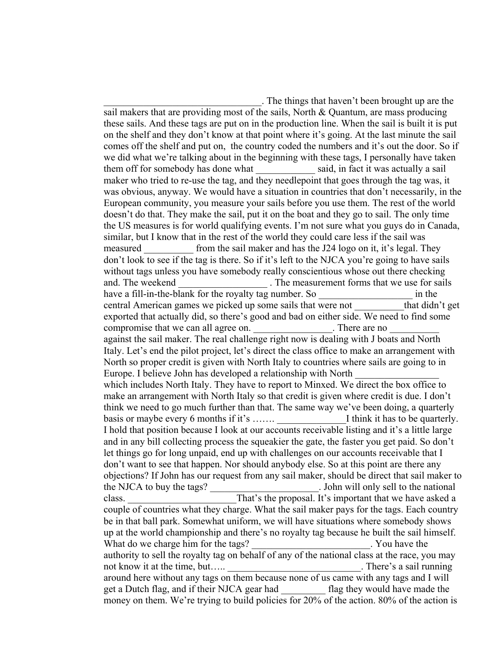\_\_\_\_\_\_\_\_\_\_\_\_\_\_\_\_\_\_\_\_\_\_\_\_\_\_\_\_\_\_\_\_. The things that haven't been brought up are the sail makers that are providing most of the sails, North & Quantum, are mass producing these sails. And these tags are put on in the production line. When the sail is built it is put on the shelf and they don't know at that point where it's going. At the last minute the sail comes off the shelf and put on, the country coded the numbers and it's out the door. So if we did what we're talking about in the beginning with these tags, I personally have taken them off for somebody has done what said, in fact it was actually a sail maker who tried to re-use the tag, and they needlepoint that goes through the tag was, it was obvious, anyway. We would have a situation in countries that don't necessarily, in the European community, you measure your sails before you use them. The rest of the world doesn't do that. They make the sail, put it on the boat and they go to sail. The only time the US measures is for world qualifying events. I'm not sure what you guys do in Canada, similar, but I know that in the rest of the world they could care less if the sail was measured from the sail maker and has the J24 logo on it, it's legal. They don't look to see if the tag is there. So if it's left to the NJCA you're going to have sails without tags unless you have somebody really conscientious whose out there checking and. The weekend The measurement forms that we use for sails have a fill-in-the-blank for the royalty tag number. So  $\cdot$  in the central American games we picked up some sails that were not that didn't get exported that actually did, so there's good and bad on either side. We need to find some compromise that we can all agree on. There are no against the sail maker. The real challenge right now is dealing with J boats and North Italy. Let's end the pilot project, let's direct the class office to make an arrangement with North so proper credit is given with North Italy to countries where sails are going to in Europe. I believe John has developed a relationship with North which includes North Italy. They have to report to Minxed. We direct the box office to make an arrangement with North Italy so that credit is given where credit is due. I don't think we need to go much further than that. The same way we've been doing, a quarterly basis or maybe every 6 months if it's  $\dots$ .  $\qquad \qquad$  I think it has to be quarterly. I hold that position because I look at our accounts receivable listing and it's a little large and in any bill collecting process the squeakier the gate, the faster you get paid. So don't let things go for long unpaid, end up with challenges on our accounts receivable that I don't want to see that happen. Nor should anybody else. So at this point are there any objections? If John has our request from any sail maker, should be direct that sail maker to the NJCA to buy the tags? The substitution of the national state of the national state of the national state of the national state of the national state of the national state of the national state of the national state of class. That's the proposal. It's important that we have asked a couple of countries what they charge. What the sail maker pays for the tags. Each country be in that ball park. Somewhat uniform, we will have situations where somebody shows up at the world championship and there's no royalty tag because he built the sail himself. What do we charge him for the tags? The same section of the tags? authority to sell the royalty tag on behalf of any of the national class at the race, you may not know it at the time, but….. There's a sail running around here without any tags on them because none of us came with any tags and I will get a Dutch flag, and if their NJCA gear had flag they would have made the money on them. We're trying to build policies for 20% of the action. 80% of the action is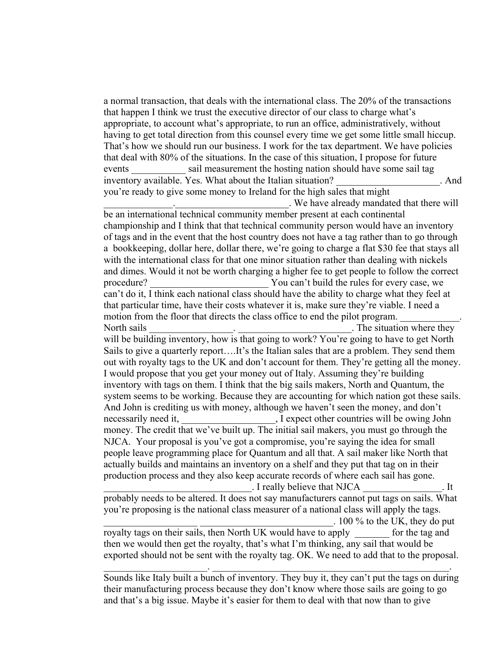a normal transaction, that deals with the international class. The 20% of the transactions that happen I think we trust the executive director of our class to charge what's appropriate, to account what's appropriate, to run an office, administratively, without having to get total direction from this counsel every time we get some little small hiccup. That's how we should run our business. I work for the tax department. We have policies that deal with 80% of the situations. In the case of this situation, I propose for future events sail measurement the hosting nation should have some sail tag inventory available. Yes. What about the Italian situation? And you're ready to give some money to Ireland for the high sales that might \_\_\_\_\_\_\_\_\_\_\_\_\_\_.\_\_\_\_\_\_\_\_\_\_\_\_\_\_\_\_\_\_\_\_\_\_\_. We have already mandated that there will be an international technical community member present at each continental championship and I think that that technical community person would have an inventory of tags and in the event that the host country does not have a tag rather than to go through a bookkeeping, dollar here, dollar there, we're going to charge a flat \$30 fee that stays all with the international class for that one minor situation rather than dealing with nickels and dimes. Would it not be worth charging a higher fee to get people to follow the correct procedure? The Sou can't build the rules for every case, we can't do it, I think each national class should have the ability to charge what they feel at that particular time, have their costs whatever it is, make sure they're viable. I need a motion from the floor that directs the class office to end the pilot program. North sails **Note 2.1** and 2.1 and 2.1 and 2.1 and 2.1 and 2.1 and 2.1 and 2.1 and 2.1 and 2.1 and 2.1 and 2.1 and 2.1 and 2.1 and 2.1 and 2.1 and 2.1 and 2.1 and 2.1 and 2.1 and 2.1 and 2.1 and 2.1 and 2.1 and 2.1 and 2.1 will be building inventory, how is that going to work? You're going to have to get North Sails to give a quarterly report….It's the Italian sales that are a problem. They send them out with royalty tags to the UK and don't account for them. They're getting all the money. I would propose that you get your money out of Italy. Assuming they're building inventory with tags on them. I think that the big sails makers, North and Quantum, the system seems to be working. Because they are accounting for which nation got these sails. And John is crediting us with money, although we haven't seen the money, and don't necessarily need it, Texpect other countries will be owing John money. The credit that we've built up. The initial sail makers, you must go through the NJCA. Your proposal is you've got a compromise, you're saying the idea for small people leave programming place for Quantum and all that. A sail maker like North that actually builds and maintains an inventory on a shelf and they put that tag on in their production process and they also keep accurate records of where each sail has gone. \_\_\_\_\_\_\_\_\_\_\_\_\_\_\_\_\_\_\_\_\_\_\_\_\_\_\_\_\_\_. I really believe that NJCA \_\_\_\_\_\_\_\_\_\_\_\_\_\_\_\_. It probably needs to be altered. It does not say manufacturers cannot put tags on sails. What you're proposing is the national class measurer of a national class will apply the tags.  $\sim$  100 % to the UK, they do put royalty tags on their sails, then North UK would have to apply for the tag and then we would then get the royalty, that's what I'm thinking, any sail that would be exported should not be sent with the royalty tag. OK. We need to add that to the proposal.  $\mathcal{L}_\text{max} = \mathcal{L}_\text{max} = \mathcal{L}_\text{max} = \mathcal{L}_\text{max} = \mathcal{L}_\text{max} = \mathcal{L}_\text{max} = \mathcal{L}_\text{max} = \mathcal{L}_\text{max} = \mathcal{L}_\text{max} = \mathcal{L}_\text{max} = \mathcal{L}_\text{max} = \mathcal{L}_\text{max} = \mathcal{L}_\text{max} = \mathcal{L}_\text{max} = \mathcal{L}_\text{max} = \mathcal{L}_\text{max} = \mathcal{L}_\text{max} = \mathcal{L}_\text{max} = \mathcal{$ 

Sounds like Italy built a bunch of inventory. They buy it, they can't put the tags on during their manufacturing process because they don't know where those sails are going to go and that's a big issue. Maybe it's easier for them to deal with that now than to give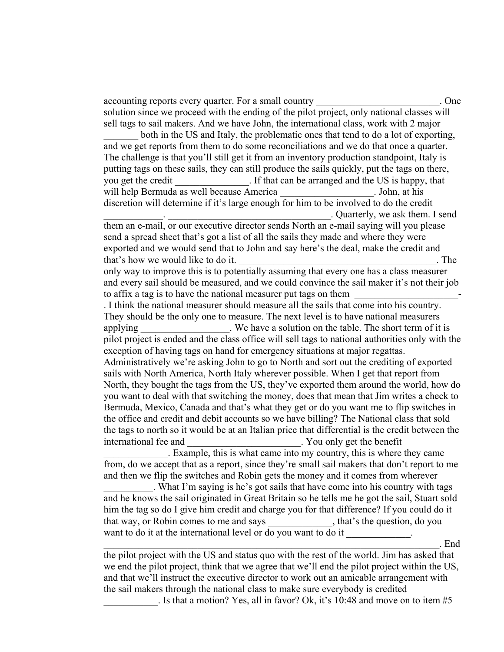accounting reports every quarter. For a small country example of the state of the state of the state of the state of the state of the state of the state of the state of the state of the state of the state of the state of t solution since we proceed with the ending of the pilot project, only national classes will sell tags to sail makers. And we have John, the international class, work with 2 major

both in the US and Italy, the problematic ones that tend to do a lot of exporting, and we get reports from them to do some reconciliations and we do that once a quarter. The challenge is that you'll still get it from an inventory production standpoint, Italy is putting tags on these sails, they can still produce the sails quickly, put the tags on there, you get the credit Fig. 15. If that can be arranged and the US is happy, that will help Bermuda as well because America \_\_\_\_\_\_\_\_\_\_\_\_\_\_\_\_\_\_\_. John, at his discretion will determine if it's large enough for him to be involved to do the credit \_\_\_\_\_\_\_\_\_\_\_\_. \_\_\_\_\_\_\_\_\_\_\_\_\_\_\_\_\_\_\_\_\_\_\_\_\_\_\_\_\_\_\_\_\_. Quarterly, we ask them. I send

them an e-mail, or our executive director sends North an e-mail saying will you please send a spread sheet that's got a list of all the sails they made and where they were exported and we would send that to John and say here's the deal, make the credit and that's how we would like to do it. The same state of  $\alpha$  is the state of  $\alpha$  is the state of  $\alpha$  is the state of  $\alpha$  is the state of  $\alpha$  is the state of  $\alpha$  is the state of  $\alpha$  is the state of  $\alpha$  is the state of

only way to improve this is to potentially assuming that every one has a class measurer and every sail should be measured, and we could convince the sail maker it's not their job to affix a tag is to have the national measurer put tags on them

. I think the national measurer should measure all the sails that come into his country. They should be the only one to measure. The next level is to have national measurers applying by December 1. We have a solution on the table. The short term of it is pilot project is ended and the class office will sell tags to national authorities only with the exception of having tags on hand for emergency situations at major regattas. Administratively we're asking John to go to North and sort out the crediting of exported sails with North America, North Italy wherever possible. When I get that report from North, they bought the tags from the US, they've exported them around the world, how do you want to deal with that switching the money, does that mean that Jim writes a check to Bermuda, Mexico, Canada and that's what they get or do you want me to flip switches in the office and credit and debit accounts so we have billing? The National class that sold the tags to north so it would be at an Italian price that differential is the credit between the international fee and  $\blacksquare$  You only get the benefit

\_\_\_\_\_\_\_\_\_\_\_\_\_. Example, this is what came into my country, this is where they came from, do we accept that as a report, since they're small sail makers that don't report to me and then we flip the switches and Robin gets the money and it comes from wherever

\_\_\_\_\_\_\_\_\_\_. What I'm saying is he's got sails that have come into his country with tags and he knows the sail originated in Great Britain so he tells me he got the sail, Stuart sold him the tag so do I give him credit and charge you for that difference? If you could do it that way, or Robin comes to me and says \_\_\_\_\_\_\_\_\_\_\_\_\_, that's the question, do you want to do it at the international level or do you want to do it

the pilot project with the US and status quo with the rest of the world. Jim has asked that we end the pilot project, think that we agree that we'll end the pilot project within the US, and that we'll instruct the executive director to work out an amicable arrangement with the sail makers through the national class to make sure everybody is credited

 $\Box$  End

. Is that a motion? Yes, all in favor? Ok, it's 10:48 and move on to item  $#5$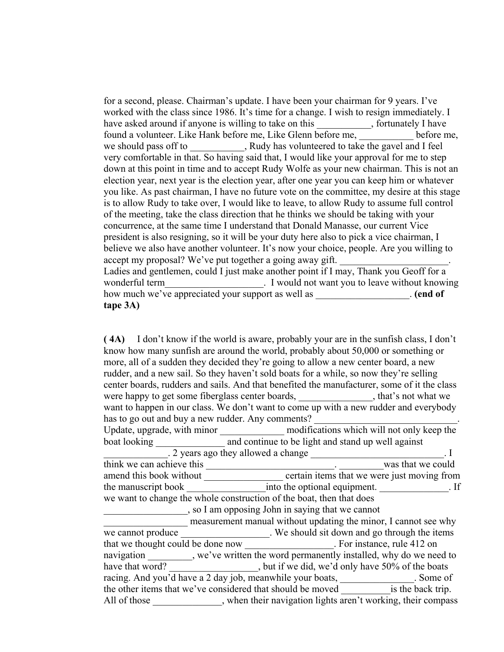for a second, please. Chairman's update. I have been your chairman for 9 years. I've worked with the class since 1986. It's time for a change. I wish to resign immediately. I have asked around if anyone is willing to take on this , fortunately I have found a volunteer. Like Hank before me, Like Glenn before me, before me, we should pass off to \_\_\_\_\_\_\_\_\_\_, Rudy has volunteered to take the gavel and I feel very comfortable in that. So having said that, I would like your approval for me to step down at this point in time and to accept Rudy Wolfe as your new chairman. This is not an election year, next year is the election year, after one year you can keep him or whatever you like. As past chairman, I have no future vote on the committee, my desire at this stage is to allow Rudy to take over, I would like to leave, to allow Rudy to assume full control of the meeting, take the class direction that he thinks we should be taking with your concurrence, at the same time I understand that Donald Manasse, our current Vice president is also resigning, so it will be your duty here also to pick a vice chairman, I believe we also have another volunteer. It's now your choice, people. Are you willing to accept my proposal? We've put together a going away gift. Ladies and gentlemen, could I just make another point if I may, Thank you Geoff for a wonderful term\_\_\_\_\_\_\_\_\_\_\_\_\_\_\_\_\_\_\_\_\_\_\_. I would not want you to leave without knowing how much we've appreciated your support as well as \_\_\_\_\_\_\_\_\_\_\_\_\_\_\_\_\_\_\_. **(end of tape 3A)** 

**( 4A)** I don't know if the world is aware, probably your are in the sunfish class, I don't know how many sunfish are around the world, probably about 50,000 or something or more, all of a sudden they decided they're going to allow a new center board, a new rudder, and a new sail. So they haven't sold boats for a while, so now they're selling center boards, rudders and sails. And that benefited the manufacturer, some of it the class were happy to get some fiberglass center boards, \_\_\_\_\_\_\_\_\_\_\_\_\_\_, that's not what we want to happen in our class. We don't want to come up with a new rudder and everybody has to go out and buy a new rudder. Any comments? Update, upgrade, with minor \_\_\_\_\_\_\_\_\_\_\_\_\_\_\_\_ modifications which will not only keep the

boat looking and continue to be light and stand up well against . 2 years ago they allowed a change \_\_\_\_\_\_\_\_\_\_\_\_\_\_\_\_\_\_\_\_\_\_\_. I think we can achieve this we could was that we could amend this book without example example that we were just moving from the manuscript book \_\_\_\_\_\_\_\_\_\_\_\_\_\_\_\_\_\_into the optional equipment. \_\_\_\_\_\_\_\_\_\_\_\_\_\_. If we want to change the whole construction of the boat, then that does \_\_\_\_\_\_\_\_\_\_\_\_\_\_\_\_\_, so I am opposing John in saying that we cannot measurement manual without updating the minor, I cannot see why we cannot produce \_\_\_\_\_\_\_\_\_\_\_\_\_\_\_\_. We should sit down and go through the items that we thought could be done now For instance, rule 412 on navigation \_\_\_\_\_\_\_, we've written the word permanently installed, why do we need to have that word? \_\_\_\_\_\_\_\_\_\_\_\_\_\_\_\_, but if we did, we'd only have 50% of the boats racing. And you'd have a 2 day job, meanwhile your boats, \_\_\_\_\_\_\_\_\_\_\_\_\_\_. Some of the other items that we've considered that should be moved is the back trip. All of those \_\_\_\_\_\_\_\_\_\_, when their navigation lights aren't working, their compass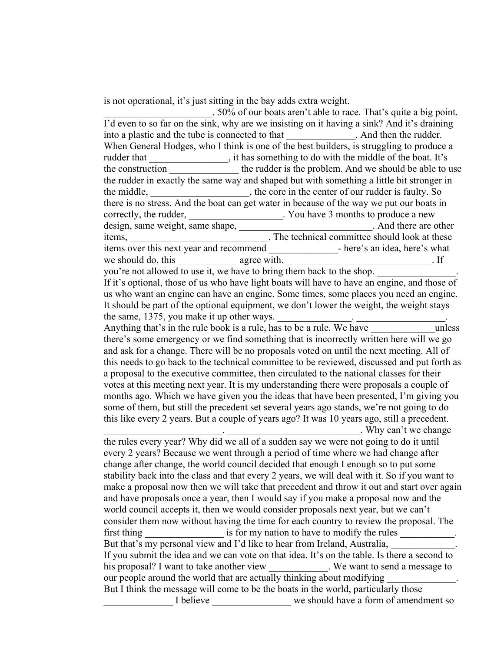is not operational, it's just sitting in the bay adds extra weight.

\_\_\_\_\_\_\_\_\_\_\_\_\_\_\_\_\_\_\_\_\_\_. 50% of our boats aren't able to race. That's quite a big point. I'd even to so far on the sink, why are we insisting on it having a sink? And it's draining into a plastic and the tube is connected to that . And then the rudder. into a plastic and the tube is connected to that When General Hodges, who I think is one of the best builders, is struggling to produce a rudder that  $\qquad \qquad$ , it has something to do with the middle of the boat. It's the construction the rudder is the problem. And we should be able to use the rudder in exactly the same way and shaped but with something a little bit stronger in the middle, the middle, the core in the center of our rudder is faulty. So there is no stress. And the boat can get water in because of the way we put our boats in correctly, the rudder, \_\_\_\_\_\_\_\_\_\_\_\_\_\_\_\_\_. You have 3 months to produce a new design, same weight, same shape, \_\_\_\_\_\_\_\_\_\_\_\_\_\_\_\_\_\_\_\_\_\_. And there are other items, **Example 2.1** The technical committee should look at these items over this next year and recommend - here's an idea, here's what we should do, this  $\qquad \qquad \text{agree with.}$  If you're not allowed to use it, we have to bring them back to the shop. If it's optional, those of us who have light boats will have to have an engine, and those of us who want an engine can have an engine. Some times, some places you need an engine. It should be part of the optional equipment, we don't lower the weight, the weight stays the same,  $1375$ , you make it up other ways. Anything that's in the rule book is a rule, has to be a rule. We have  $\frac{1}{2}$  unless there's some emergency or we find something that is incorrectly written here will we go and ask for a change. There will be no proposals voted on until the next meeting. All of this needs to go back to the technical committee to be reviewed, discussed and put forth as a proposal to the executive committee, then circulated to the national classes for their votes at this meeting next year. It is my understanding there were proposals a couple of months ago. Which we have given you the ideas that have been presented, I'm giving you some of them, but still the precedent set several years ago stands, we're not going to do this like every 2 years. But a couple of years ago? It was 10 years ago, still a precedent. \_\_\_\_\_\_\_\_\_\_\_\_\_\_\_\_\_\_\_\_\_\_\_\_. \_\_\_\_\_\_\_\_\_\_\_\_\_\_\_\_\_\_\_\_\_\_\_\_\_\_\_. Why can't we change the rules every year? Why did we all of a sudden say we were not going to do it until every 2 years? Because we went through a period of time where we had change after change after change, the world council decided that enough I enough so to put some stability back into the class and that every 2 years, we will deal with it. So if you want to make a proposal now then we will take that precedent and throw it out and start over again and have proposals once a year, then I would say if you make a proposal now and the world council accepts it, then we would consider proposals next year, but we can't consider them now without having the time for each country to review the proposal. The first thing is for my nation to have to modify the rules But that's my personal view and I'd like to hear from Ireland, Australia, If you submit the idea and we can vote on that idea. It's on the table. Is there a second to his proposal? I want to take another view We want to send a message to our people around the world that are actually thinking about modifying But I think the message will come to be the boats in the world, particularly those I believe we should have a form of amendment so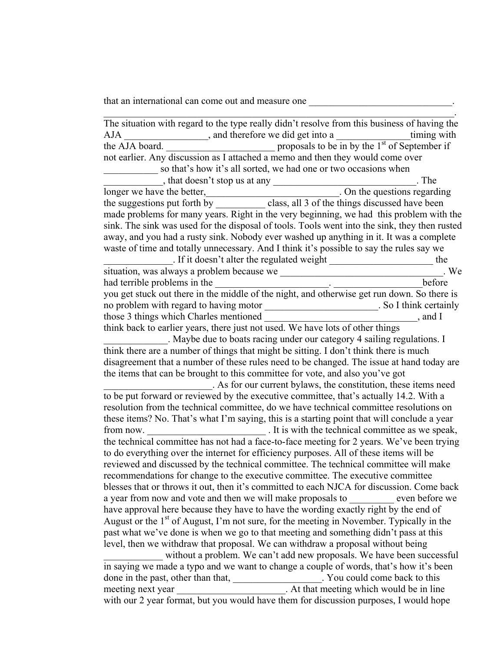that an international can come out and measure one  $\Box$ 

| The situation with regard to the type really didn't resolve from this business of having the                                                                                                  |  |  |  |
|-----------------------------------------------------------------------------------------------------------------------------------------------------------------------------------------------|--|--|--|
| <b>AJA</b>                                                                                                                                                                                    |  |  |  |
| the AJA board. $\frac{1}{\sqrt{1-\frac{1}{n}}}$ proposals to be in by the 1 <sup>st</sup> of September if not earlier. Any discussion as I attached a memo and then they would come over      |  |  |  |
|                                                                                                                                                                                               |  |  |  |
| so that's how it's all sorted, we had one or two occasions when                                                                                                                               |  |  |  |
|                                                                                                                                                                                               |  |  |  |
|                                                                                                                                                                                               |  |  |  |
|                                                                                                                                                                                               |  |  |  |
| made problems for many years. Right in the very beginning, we had this problem with the                                                                                                       |  |  |  |
| sink. The sink was used for the disposal of tools. Tools went into the sink, they then rusted                                                                                                 |  |  |  |
| away, and you had a rusty sink. Nobody ever washed up anything in it. It was a complete                                                                                                       |  |  |  |
| waste of time and totally unnecessary. And I think it's possible to say the rules say we                                                                                                      |  |  |  |
| $\frac{1}{2}$ . If it doesn't alter the regulated weight $\frac{1}{2}$ the                                                                                                                    |  |  |  |
|                                                                                                                                                                                               |  |  |  |
| had terrible problems in the <u>leader of the night</u> , and otherwise get run down. So there is you get stuck out there in the middle of the night, and otherwise get run down. So there is |  |  |  |
|                                                                                                                                                                                               |  |  |  |
| no problem with regard to having motor __________________________. So I think certainly                                                                                                       |  |  |  |
|                                                                                                                                                                                               |  |  |  |
| think back to earlier years, there just not used. We have lots of other things                                                                                                                |  |  |  |
| . Maybe due to boats racing under our category 4 sailing regulations. I                                                                                                                       |  |  |  |
| think there are a number of things that might be sitting. I don't think there is much                                                                                                         |  |  |  |
| disagreement that a number of these rules need to be changed. The issue at hand today are                                                                                                     |  |  |  |
| the items that can be brought to this committee for vote, and also you've got                                                                                                                 |  |  |  |
| . As for our current bylaws, the constitution, these items need<br>to be put forward or reviewed by the executive committee, that's actually 14.2. With a                                     |  |  |  |
|                                                                                                                                                                                               |  |  |  |
| resolution from the technical committee, do we have technical committee resolutions on                                                                                                        |  |  |  |
| these items? No. That's what I'm saying, this is a starting point that will conclude a year                                                                                                   |  |  |  |
|                                                                                                                                                                                               |  |  |  |
| the technical committee has not had a face-to-face meeting for 2 years. We've been trying                                                                                                     |  |  |  |
| to do everything over the internet for efficiency purposes. All of these items will be                                                                                                        |  |  |  |
| reviewed and discussed by the technical committee. The technical committee will make                                                                                                          |  |  |  |
| recommendations for change to the executive committee. The executive committee                                                                                                                |  |  |  |
| blesses that or throws it out, then it's committed to each NJCA for discussion. Come back                                                                                                     |  |  |  |
| a year from now and vote and then we will make proposals to ________ even before we                                                                                                           |  |  |  |
| have approval here because they have to have the wording exactly right by the end of                                                                                                          |  |  |  |
| August or the 1 <sup>st</sup> of August, I'm not sure, for the meeting in November. Typically in the                                                                                          |  |  |  |
| past what we've done is when we go to that meeting and something didn't pass at this                                                                                                          |  |  |  |
| level, then we withdraw that proposal. We can withdraw a proposal without being                                                                                                               |  |  |  |
| without a problem. We can't add new proposals. We have been successful                                                                                                                        |  |  |  |
| in saying we made a typo and we want to change a couple of words, that's how it's been                                                                                                        |  |  |  |
| done in the past, other than that, _______________. You could come back to this meeting next year ____________. At that meeting which would be in line                                        |  |  |  |
| with our 2 year format, but you would have them for discussion purposes, I would hope                                                                                                         |  |  |  |
|                                                                                                                                                                                               |  |  |  |
|                                                                                                                                                                                               |  |  |  |

 $\mathcal{L}_\text{max}$  and  $\mathcal{L}_\text{max}$  and  $\mathcal{L}_\text{max}$  and  $\mathcal{L}_\text{max}$  and  $\mathcal{L}_\text{max}$  and  $\mathcal{L}_\text{max}$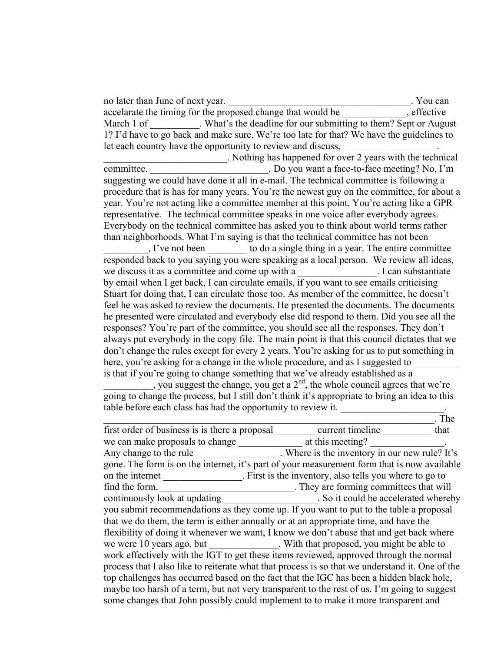no later than June of next year. The same state of  $\alpha$  is the same state of  $\alpha$  is the same state of  $\alpha$  is the same state of  $\alpha$  is the same state of  $\alpha$  is the same state of  $\alpha$  is the same state of  $\alpha$  is the sam accelarate the timing for the proposed change that would be elective settled accelarate the timing for the proposed change that would be March 1 of What's the deadline for our submitting to them? Sept or August 1? I'd have to go back and make sure. We're too late for that? We have the guidelines to let each country have the opportunity to review and discuss,

\_\_\_\_\_\_\_\_\_\_\_\_\_\_\_\_\_\_\_\_\_\_\_\_\_. Nothing has happened for over 2 years with the technical committee. Do you want a face-to-face meeting? No, I'm suggesting we could have done it all in e-mail. The technical committee is following a procedure that is has for many years. You're the newest guy on the committee, for about a year. You're not acting like a committee member at this point. You're acting like a GPR representative. The technical committee speaks in one voice after everybody agrees. Everybody on the technical committee has asked you to think about world terms rather than neighborhoods. What I'm saying is that the technical committee has not been

\_\_\_\_\_\_\_\_\_, I've not been \_\_\_\_\_\_\_\_ to do a single thing in a year. The entire committee responded back to you saying you were speaking as a local person. We review all ideas, we discuss it as a committee and come up with a \_\_\_\_\_\_\_\_\_\_\_\_\_\_\_\_. I can substantiate by email when I get back, I can circulate emails, if you want to see emails criticising Stuart for doing that, I can circulate those too. As member of the committee, he doesn't feel he was asked to review the documents. He presented the documents. The documents he presented were circulated and everybody else did respond to them. Did you see all the responses? You're part of the committee, you should see all the responses. They don't always put everybody in the copy file. The main point is that this council dictates that we don't change the rules except for every 2 years. You're asking for us to put something in here, you're asking for a change in the whole procedure, and as I suggested to is that if you're going to change something that we've already established as a

, you suggest the change, you get a  $2<sup>nd</sup>$ , the whole council agrees that we're going to change the process, but I still don't think it's appropriate to bring an idea to this table before each class has had the opportunity to review it. \_\_\_\_\_\_\_\_\_\_\_\_\_\_\_\_\_\_\_\_\_.

|                                                                                                 |                                                         | The  |  |
|-------------------------------------------------------------------------------------------------|---------------------------------------------------------|------|--|
| first order of business is is there a proposal current timeline                                 |                                                         | that |  |
| we can make proposals to change                                                                 | at this meeting?                                        |      |  |
| Any change to the rule Where is the inventory in our new rule? It's                             |                                                         |      |  |
| gone. The form is on the internet, it's part of your measurement form that is now available     |                                                         |      |  |
| on the internet                                                                                 | . First is the inventory, also tells you where to go to |      |  |
| find the form.                                                                                  | . They are forming committees that will                 |      |  |
| continuously look at updating                                                                   | . So it could be accelerated whereby                    |      |  |
| you submit recommendations as they come up. If you want to put to the table a proposal          |                                                         |      |  |
| that we do them, the term is either annually or at an appropriate time, and have the            |                                                         |      |  |
| flexibility of doing it whenever we want, I know we don't abuse that and get back where         |                                                         |      |  |
| we were 10 years ago, but With that proposed, you might be able to                              |                                                         |      |  |
| work effectively with the IGT to get these items reviewed, approved through the normal          |                                                         |      |  |
| process that I also like to reiterate what that process is so that we understand it. One of the |                                                         |      |  |
| top challenges has occurred based on the fact that the IGC has been a hidden black hole,        |                                                         |      |  |
| maybe too harsh of a term, but not very transparent to the rest of us. I'm going to suggest     |                                                         |      |  |
| some changes that John possibly could implement to to make it more transparent and              |                                                         |      |  |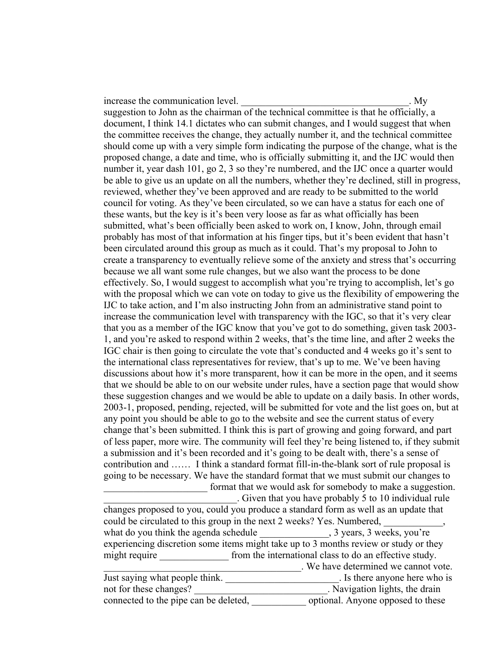increase the communication level.  $\blacksquare$ 

suggestion to John as the chairman of the technical committee is that he officially, a document, I think 14.1 dictates who can submit changes, and I would suggest that when the committee receives the change, they actually number it, and the technical committee should come up with a very simple form indicating the purpose of the change, what is the proposed change, a date and time, who is officially submitting it, and the IJC would then number it, year dash 101, go 2, 3 so they're numbered, and the IJC once a quarter would be able to give us an update on all the numbers, whether they're declined, still in progress, reviewed, whether they've been approved and are ready to be submitted to the world council for voting. As they've been circulated, so we can have a status for each one of these wants, but the key is it's been very loose as far as what officially has been submitted, what's been officially been asked to work on, I know, John, through email probably has most of that information at his finger tips, but it's been evident that hasn't been circulated around this group as much as it could. That's my proposal to John to create a transparency to eventually relieve some of the anxiety and stress that's occurring because we all want some rule changes, but we also want the process to be done effectively. So, I would suggest to accomplish what you're trying to accomplish, let's go with the proposal which we can vote on today to give us the flexibility of empowering the IJC to take action, and I'm also instructing John from an administrative stand point to increase the communication level with transparency with the IGC, so that it's very clear that you as a member of the IGC know that you've got to do something, given task 2003- 1, and you're asked to respond within 2 weeks, that's the time line, and after 2 weeks the IGC chair is then going to circulate the vote that's conducted and 4 weeks go it's sent to the international class representatives for review, that's up to me. We've been having discussions about how it's more transparent, how it can be more in the open, and it seems that we should be able to on our website under rules, have a section page that would show these suggestion changes and we would be able to update on a daily basis. In other words, 2003-1, proposed, pending, rejected, will be submitted for vote and the list goes on, but at any point you should be able to go to the website and see the current status of every change that's been submitted. I think this is part of growing and going forward, and part of less paper, more wire. The community will feel they're being listened to, if they submit a submission and it's been recorded and it's going to be dealt with, there's a sense of contribution and …… I think a standard format fill-in-the-blank sort of rule proposal is going to be necessary. We have the standard format that we must submit our changes to format that we would ask for somebody to make a suggestion. \_\_\_\_\_\_\_\_\_\_\_\_\_\_\_\_\_\_\_\_\_\_\_\_\_\_\_. Given that you have probably 5 to 10 individual rule changes proposed to you, could you produce a standard form as well as an update that could be circulated to this group in the next 2 weeks? Yes. Numbered,

what do you think the agenda schedule  $\qquad \qquad$ , 3 years, 3 weeks, you're experiencing discretion some items might take up to 3 months review or study or they might require from the international class to do an effective study. \_\_\_\_\_\_\_\_\_\_\_\_\_\_\_\_\_\_\_\_\_\_\_\_\_\_\_\_\_\_\_\_\_\_\_\_\_\_\_\_. We have determined we cannot vote.

| Just saying what people think.        | . Is there anyone here who is     |
|---------------------------------------|-----------------------------------|
| not for these changes?                | Navigation lights, the drain      |
| connected to the pipe can be deleted, | optional. Anyone opposed to these |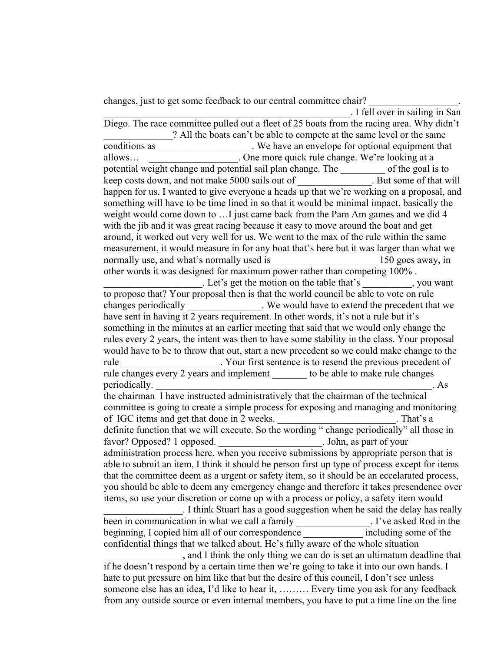changes, just to get some feedback to our central committee chair?

\_\_\_\_\_\_\_\_\_\_\_\_\_\_\_\_\_\_\_\_\_\_\_\_\_\_\_\_\_\_\_\_\_\_\_\_\_\_\_\_\_\_\_\_\_\_\_\_\_\_. I fell over in sailing in San Diego. The race committee pulled out a fleet of 25 boats from the racing area. Why didn't ? All the boats can't be able to compete at the same level or the same conditions as \_\_\_\_\_\_\_\_\_\_\_\_\_\_\_\_\_\_\_. We have an envelope for optional equipment that allows... **Cone more quick rule change.** We're looking at a potential weight change and potential sail plan change. The \_\_\_\_\_\_\_ of the goal is to keep costs down, and not make 5000 sails out of . But some of that will happen for us. I wanted to give everyone a heads up that we're working on a proposal, and something will have to be time lined in so that it would be minimal impact, basically the weight would come down to …I just came back from the Pam Am games and we did 4 with the jib and it was great racing because it easy to move around the boat and get around, it worked out very well for us. We went to the max of the rule within the same measurement, it would measure in for any boat that's here but it was larger than what we normally use, and what's normally used is  $150$  goes away, in other words it was designed for maximum power rather than competing 100% . Let's get the motion on the table that's , you want to propose that? Your proposal then is that the world council be able to vote on rule changes periodically extend the precedent that we would have to extend the precedent that we have sent in having it 2 years requirement. In other words, it's not a rule but it's something in the minutes at an earlier meeting that said that we would only change the rules every 2 years, the intent was then to have some stability in the class. Your proposal would have to be to throw that out, start a new precedent so we could make change to the rule The New Your first sentence is to resend the previous precedent of rule changes every 2 years and implement to be able to make rule changes periodically. the chairman I have instructed administratively that the chairman of the technical committee is going to create a simple process for exposing and managing and monitoring of IGC items and get that done in 2 weeks. \_\_\_\_\_\_\_\_\_\_\_\_\_\_\_\_\_\_\_\_\_\_\_\_. That's a definite function that we will execute. So the wording " change periodically" all those in favor? Opposed? 1 opposed. John, as part of your administration process here, when you receive submissions by appropriate person that is able to submit an item, I think it should be person first up type of process except for items that the committee deem as a urgent or safety item, so it should be an eccelarated process, you should be able to deem any emergency change and therefore it takes presendence over items, so use your discretion or come up with a process or policy, a safety item would \_\_\_\_\_\_\_\_\_\_\_\_\_\_\_\_. I think Stuart has a good suggestion when he said the delay has really been in communication in what we call a family \_\_\_\_\_\_\_\_\_\_\_\_\_. I've asked Rod in the beginning, I copied him all of our correspondence including some of the confidential things that we talked about. He's fully aware of the whole situation \_\_\_\_\_\_\_\_\_\_\_\_\_\_\_\_, and I think the only thing we can do is set an ultimatum deadline that if he doesn't respond by a certain time then we're going to take it into our own hands. I hate to put pressure on him like that but the desire of this council, I don't see unless someone else has an idea, I'd like to hear it, ……… Every time you ask for any feedback from any outside source or even internal members, you have to put a time line on the line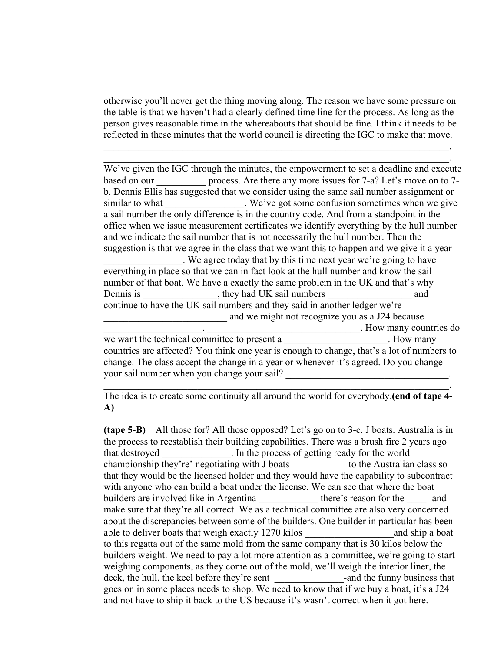otherwise you'll never get the thing moving along. The reason we have some pressure on the table is that we haven't had a clearly defined time line for the process. As long as the person gives reasonable time in the whereabouts that should be fine. I think it needs to be reflected in these minutes that the world council is directing the IGC to make that move.

 $\mathcal{L}_\text{max}$  and  $\mathcal{L}_\text{max}$  and  $\mathcal{L}_\text{max}$  and  $\mathcal{L}_\text{max}$  and  $\mathcal{L}_\text{max}$  and  $\mathcal{L}_\text{max}$  $\mathcal{L}_\mathcal{L} = \mathcal{L}_\mathcal{L} = \mathcal{L}_\mathcal{L} = \mathcal{L}_\mathcal{L} = \mathcal{L}_\mathcal{L} = \mathcal{L}_\mathcal{L} = \mathcal{L}_\mathcal{L} = \mathcal{L}_\mathcal{L} = \mathcal{L}_\mathcal{L} = \mathcal{L}_\mathcal{L} = \mathcal{L}_\mathcal{L} = \mathcal{L}_\mathcal{L} = \mathcal{L}_\mathcal{L} = \mathcal{L}_\mathcal{L} = \mathcal{L}_\mathcal{L} = \mathcal{L}_\mathcal{L} = \mathcal{L}_\mathcal{L}$ 

We've given the IGC through the minutes, the empowerment to set a deadline and execute based on our <u>same process</u>. Are there any more issues for 7-a? Let's move on to 7b. Dennis Ellis has suggested that we consider using the same sail number assignment or similar to what \_\_\_\_\_\_\_\_\_\_\_\_\_\_. We've got some confusion sometimes when we give a sail number the only difference is in the country code. And from a standpoint in the office when we issue measurement certificates we identify everything by the hull number and we indicate the sail number that is not necessarily the hull number. Then the suggestion is that we agree in the class that we want this to happen and we give it a year \_\_\_\_\_\_\_\_\_\_\_\_\_\_\_\_. We agree today that by this time next year we're going to have everything in place so that we can in fact look at the hull number and know the sail number of that boat. We have a exactly the same problem in the UK and that's why Dennis is \_\_\_\_\_\_\_\_\_\_\_\_\_\_, they had UK sail numbers and continue to have the UK sail numbers and they said in another ledger we're and we might not recognize you as a J24 because \_\_\_\_\_\_\_\_\_\_\_\_\_\_\_\_\_\_\_\_. \_\_\_\_\_\_\_\_\_\_\_\_\_\_\_\_\_\_\_\_\_\_\_\_\_\_\_\_\_\_\_. How many countries do we want the technical committee to present a \_\_\_\_\_\_\_\_\_\_\_\_\_\_\_\_\_\_\_\_\_. How many countries are affected? You think one year is enough to change, that's a lot of numbers to change. The class accept the change in a year or whenever it's agreed. Do you change

The idea is to create some continuity all around the world for everybody.**(end of tape 4- A)** 

 $\mathcal{L}_\mathcal{L} = \mathcal{L}_\mathcal{L} = \mathcal{L}_\mathcal{L} = \mathcal{L}_\mathcal{L} = \mathcal{L}_\mathcal{L} = \mathcal{L}_\mathcal{L} = \mathcal{L}_\mathcal{L} = \mathcal{L}_\mathcal{L} = \mathcal{L}_\mathcal{L} = \mathcal{L}_\mathcal{L} = \mathcal{L}_\mathcal{L} = \mathcal{L}_\mathcal{L} = \mathcal{L}_\mathcal{L} = \mathcal{L}_\mathcal{L} = \mathcal{L}_\mathcal{L} = \mathcal{L}_\mathcal{L} = \mathcal{L}_\mathcal{L}$ 

your sail number when you change your sail?

**(tape 5-B)** All those for? All those opposed? Let's go on to 3-c. J boats. Australia is in the process to reestablish their building capabilities. There was a brush fire 2 years ago that destroyed **that in the process of getting ready for the world** championship they're' negotiating with J boats \_\_\_\_\_\_\_\_\_\_\_ to the Australian class so that they would be the licensed holder and they would have the capability to subcontract with anyone who can build a boat under the license. We can see that where the boat builders are involved like in Argentina there's reason for the -and make sure that they're all correct. We as a technical committee are also very concerned about the discrepancies between some of the builders. One builder in particular has been able to deliver boats that weigh exactly 1270 kilos and ship a boat to this regatta out of the same mold from the same company that is 30 kilos below the builders weight. We need to pay a lot more attention as a committee, we're going to start weighing components, as they come out of the mold, we'll weigh the interior liner, the deck, the hull, the keel before they're sent \_\_\_\_\_\_\_\_\_\_\_\_\_\_-and the funny business that goes on in some places needs to shop. We need to know that if we buy a boat, it's a J24 and not have to ship it back to the US because it's wasn't correct when it got here.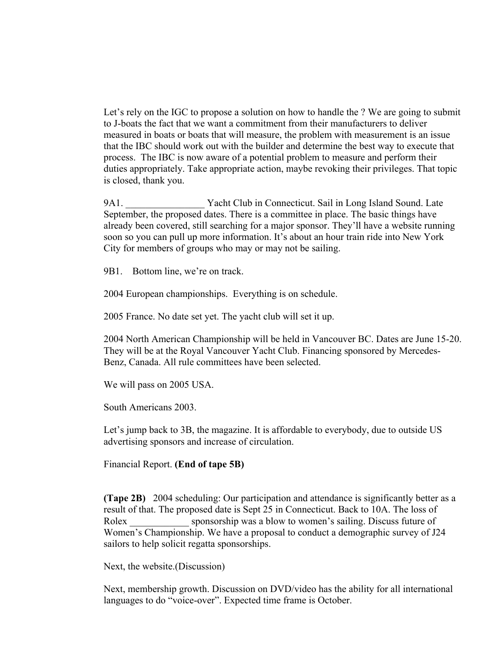Let's rely on the IGC to propose a solution on how to handle the ? We are going to submit to J-boats the fact that we want a commitment from their manufacturers to deliver measured in boats or boats that will measure, the problem with measurement is an issue that the IBC should work out with the builder and determine the best way to execute that process. The IBC is now aware of a potential problem to measure and perform their duties appropriately. Take appropriate action, maybe revoking their privileges. That topic is closed, thank you.

9A1. Yacht Club in Connecticut. Sail in Long Island Sound. Late September, the proposed dates. There is a committee in place. The basic things have already been covered, still searching for a major sponsor. They'll have a website running soon so you can pull up more information. It's about an hour train ride into New York City for members of groups who may or may not be sailing.

9B1. Bottom line, we're on track.

2004 European championships. Everything is on schedule.

2005 France. No date set yet. The yacht club will set it up.

2004 North American Championship will be held in Vancouver BC. Dates are June 15-20. They will be at the Royal Vancouver Yacht Club. Financing sponsored by Mercedes-Benz, Canada. All rule committees have been selected.

We will pass on 2005 USA.

South Americans 2003.

Let's jump back to 3B, the magazine. It is affordable to everybody, due to outside US advertising sponsors and increase of circulation.

Financial Report. **(End of tape 5B)** 

**(Tape 2B)** 2004 scheduling: Our participation and attendance is significantly better as a result of that. The proposed date is Sept 25 in Connecticut. Back to 10A. The loss of Rolex sponsorship was a blow to women's sailing. Discuss future of Women's Championship. We have a proposal to conduct a demographic survey of J24 sailors to help solicit regatta sponsorships.

Next, the website.(Discussion)

Next, membership growth. Discussion on DVD/video has the ability for all international languages to do "voice-over". Expected time frame is October.